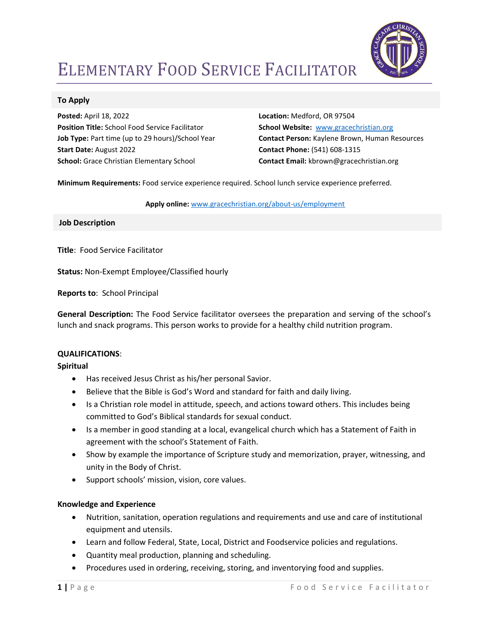

# ELEMENTARY FOOD SERVICE FACILITATOR

## To Apply

Posted: April 18, 2022 Position Title: School Food Service Facilitator Job Type: Part time (up to 29 hours)/School Year Start Date: August 2022 School: Grace Christian Elementary School

Location: Medford, OR 97504 School Website: www.gracechristian.org Contact Person: Kaylene Brown, Human Resources Contact Phone: (541) 608-1315 Contact Email: kbrown@gracechristian.org

Minimum Requirements: Food service experience required. School lunch service experience preferred.

Apply online: www.gracechristian.org/about-us/employment

Job Description

Title: Food Service Facilitator

Status: Non-Exempt Employee/Classified hourly

Reports to: School Principal

General Description: The Food Service facilitator oversees the preparation and serving of the school's lunch and snack programs. This person works to provide for a healthy child nutrition program.

#### QUALIFICATIONS:

#### Spiritual

- Has received Jesus Christ as his/her personal Savior.
- Believe that the Bible is God's Word and standard for faith and daily living.
- Is a Christian role model in attitude, speech, and actions toward others. This includes being committed to God's Biblical standards for sexual conduct.
- Is a member in good standing at a local, evangelical church which has a Statement of Faith in agreement with the school's Statement of Faith.
- Show by example the importance of Scripture study and memorization, prayer, witnessing, and unity in the Body of Christ.
- Support schools' mission, vision, core values.

#### Knowledge and Experience

- Nutrition, sanitation, operation regulations and requirements and use and care of institutional equipment and utensils.
- Learn and follow Federal, State, Local, District and Foodservice policies and regulations.
- Quantity meal production, planning and scheduling.
- Procedures used in ordering, receiving, storing, and inventorying food and supplies.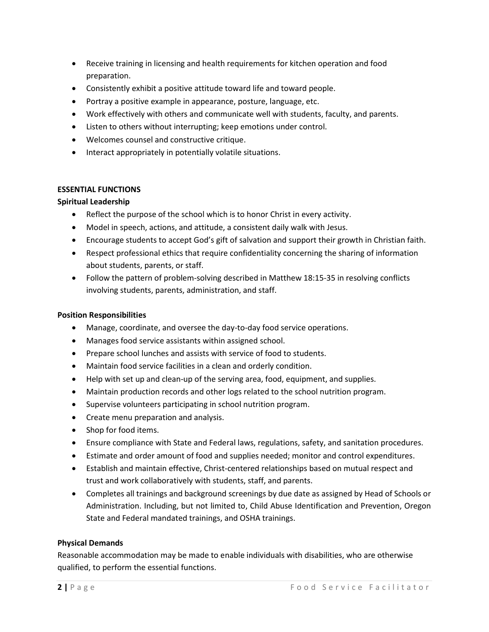- Receive training in licensing and health requirements for kitchen operation and food preparation.
- Consistently exhibit a positive attitude toward life and toward people.
- Portray a positive example in appearance, posture, language, etc.
- Work effectively with others and communicate well with students, faculty, and parents.
- Listen to others without interrupting; keep emotions under control.
- Welcomes counsel and constructive critique.
- Interact appropriately in potentially volatile situations.

# ESSENTIAL FUNCTIONS

## Spiritual Leadership

- Reflect the purpose of the school which is to honor Christ in every activity.
- Model in speech, actions, and attitude, a consistent daily walk with Jesus.
- Encourage students to accept God's gift of salvation and support their growth in Christian faith.
- Respect professional ethics that require confidentiality concerning the sharing of information about students, parents, or staff.
- Follow the pattern of problem-solving described in Matthew 18:15-35 in resolving conflicts involving students, parents, administration, and staff.

#### Position Responsibilities

- Manage, coordinate, and oversee the day-to-day food service operations.
- Manages food service assistants within assigned school.
- Prepare school lunches and assists with service of food to students.
- Maintain food service facilities in a clean and orderly condition.
- Help with set up and clean-up of the serving area, food, equipment, and supplies.
- Maintain production records and other logs related to the school nutrition program.
- Supervise volunteers participating in school nutrition program.
- Create menu preparation and analysis.
- Shop for food items.
- Ensure compliance with State and Federal laws, regulations, safety, and sanitation procedures.
- Estimate and order amount of food and supplies needed; monitor and control expenditures.
- Establish and maintain effective, Christ-centered relationships based on mutual respect and trust and work collaboratively with students, staff, and parents.
- Completes all trainings and background screenings by due date as assigned by Head of Schools or Administration. Including, but not limited to, Child Abuse Identification and Prevention, Oregon State and Federal mandated trainings, and OSHA trainings.

#### Physical Demands

Reasonable accommodation may be made to enable individuals with disabilities, who are otherwise qualified, to perform the essential functions.